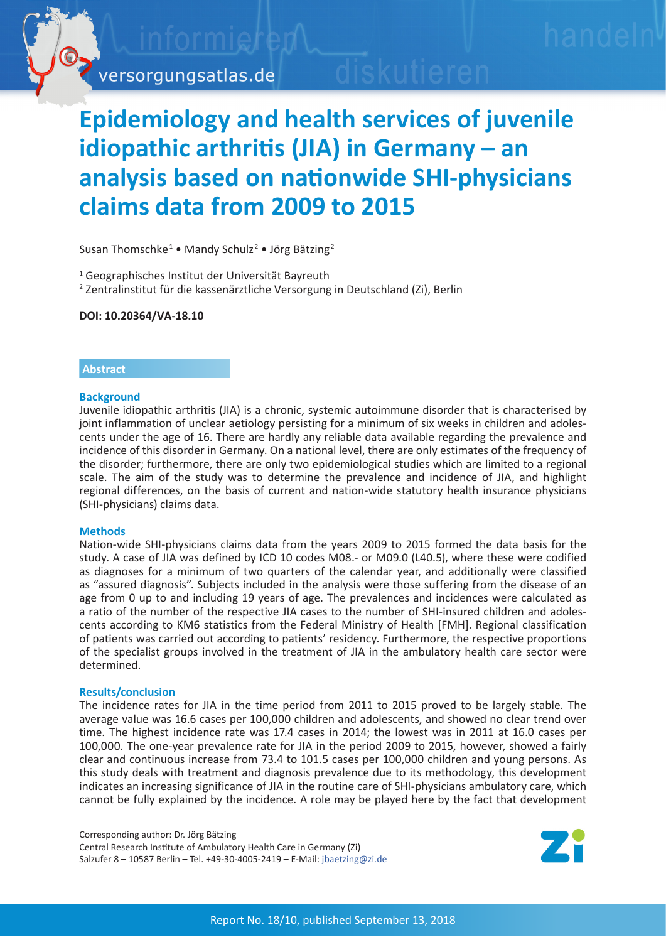

# **Epidemiology and health services of juvenile idiopathic arthritis (JIA) in Germany – an analysis based on nationwide SHI-physicians claims data from 2009 to 2015**

Susan Thomschke<sup>1</sup> • Mandy Schulz<sup>2</sup> • Jörg Bätzing<sup>2</sup>

1 Geographisches Institut der Universität Bayreuth

2 Zentralinstitut für die kassenärztliche Versorgung in Deutschland (Zi), Berlin

**DOI: 10.20364/VA-18.10**

# **Abstract**

# **Background**

Juvenile idiopathic arthritis (JIA) is a chronic, systemic autoimmune disorder that is characterised by joint inflammation of unclear aetiology persisting for a minimum of six weeks in children and adolescents under the age of 16. There are hardly any reliable data available regarding the prevalence and incidence of this disorder in Germany. On a national level, there are only estimates of the frequency of the disorder; furthermore, there are only two epidemiological studies which are limited to a regional scale. The aim of the study was to determine the prevalence and incidence of JIA, and highlight regional differences, on the basis of current and nation-wide statutory health insurance physicians (SHI-physicians) claims data.

### **Methods**

Nation-wide SHI-physicians claims data from the years 2009 to 2015 formed the data basis for the study. A case of JIA was defined by ICD 10 codes M08.- or M09.0 (L40.5), where these were codified as diagnoses for a minimum of two quarters of the calendar year, and additionally were classified as "assured diagnosis". Subjects included in the analysis were those suffering from the disease of an age from 0 up to and including 19 years of age. The prevalences and incidences were calculated as a ratio of the number of the respective JIA cases to the number of SHI-insured children and adolescents according to KM6 statistics from the Federal Ministry of Health [FMH]. Regional classification of patients was carried out according to patients' residency. Furthermore, the respective proportions of the specialist groups involved in the treatment of JIA in the ambulatory health care sector were determined.

### **Results/conclusion**

The incidence rates for JIA in the time period from 2011 to 2015 proved to be largely stable. The average value was 16.6 cases per 100,000 children and adolescents, and showed no clear trend over time. The highest incidence rate was 17.4 cases in 2014; the lowest was in 2011 at 16.0 cases per 100,000. The one-year prevalence rate for JIA in the period 2009 to 2015, however, showed a fairly clear and continuous increase from 73.4 to 101.5 cases per 100,000 children and young persons. As this study deals with treatment and diagnosis prevalence due to its methodology, this development indicates an increasing significance of JIA in the routine care of SHI-physicians ambulatory care, which cannot be fully explained by the incidence. A role may be played here by the fact that development

Corresponding author: Dr. Jörg Bätzing Central Research Institute of Ambulatory Health Care in Germany (Zi) Salzufer 8 – 10587 Berlin – Tel. +49-30-4005-2419 – E-Mail: [jbaetzing@zi.de](mailto:jbaetzing%40zi.de?subject=VA-Bericht%2018/10%20Juvenile%20idiopathische%20Arthritis)